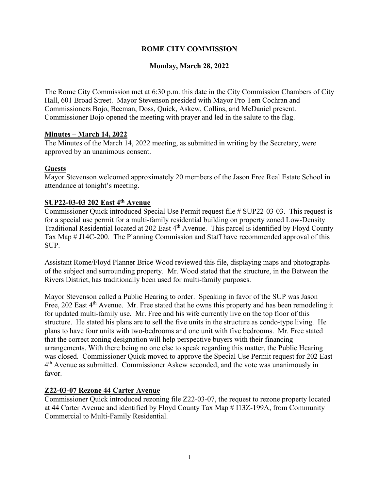# **ROME CITY COMMISSION**

# **Monday, March 28, 2022**

The Rome City Commission met at 6:30 p.m. this date in the City Commission Chambers of City Hall, 601 Broad Street. Mayor Stevenson presided with Mayor Pro Tem Cochran and Commissioners Bojo, Beeman, Doss, Quick, Askew, Collins, and McDaniel present. Commissioner Bojo opened the meeting with prayer and led in the salute to the flag.

### **Minutes – March 14, 2022**

The Minutes of the March 14, 2022 meeting, as submitted in writing by the Secretary, were approved by an unanimous consent.

### **Guests**

Mayor Stevenson welcomed approximately 20 members of the Jason Free Real Estate School in attendance at tonight's meeting.

### **SUP22-03-03 202 East 4th Avenue**

Commissioner Quick introduced Special Use Permit request file # SUP22-03-03. This request is for a special use permit for a multi-family residential building on property zoned Low-Density Traditional Residential located at 202 East 4<sup>th</sup> Avenue. This parcel is identified by Floyd County Tax Map # J14C-200. The Planning Commission and Staff have recommended approval of this SUP.

Assistant Rome/Floyd Planner Brice Wood reviewed this file, displaying maps and photographs of the subject and surrounding property. Mr. Wood stated that the structure, in the Between the Rivers District, has traditionally been used for multi-family purposes.

Mayor Stevenson called a Public Hearing to order. Speaking in favor of the SUP was Jason Free, 202 East 4<sup>th</sup> Avenue. Mr. Free stated that he owns this property and has been remodeling it for updated multi-family use. Mr. Free and his wife currently live on the top floor of this structure. He stated his plans are to sell the five units in the structure as condo-type living. He plans to have four units with two-bedrooms and one unit with five bedrooms. Mr. Free stated that the correct zoning designation will help perspective buyers with their financing arrangements. With there being no one else to speak regarding this matter, the Public Hearing was closed. Commissioner Quick moved to approve the Special Use Permit request for 202 East 4<sup>th</sup> Avenue as submitted. Commissioner Askew seconded, and the vote was unanimously in favor.

### **Z22-03-07 Rezone 44 Carter Avenue**

Commissioner Quick introduced rezoning file Z22-03-07, the request to rezone property located at 44 Carter Avenue and identified by Floyd County Tax Map # I13Z-199A, from Community Commercial to Multi-Family Residential.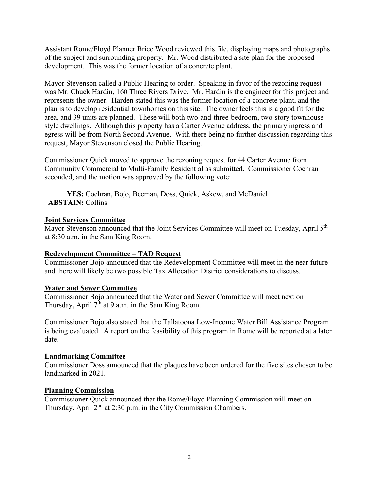Assistant Rome/Floyd Planner Brice Wood reviewed this file, displaying maps and photographs of the subject and surrounding property. Mr. Wood distributed a site plan for the proposed development. This was the former location of a concrete plant.

Mayor Stevenson called a Public Hearing to order. Speaking in favor of the rezoning request was Mr. Chuck Hardin, 160 Three Rivers Drive. Mr. Hardin is the engineer for this project and represents the owner. Harden stated this was the former location of a concrete plant, and the plan is to develop residential townhomes on this site. The owner feels this is a good fit for the area, and 39 units are planned. These will both two-and-three-bedroom, two-story townhouse style dwellings. Although this property has a Carter Avenue address, the primary ingress and egress will be from North Second Avenue. With there being no further discussion regarding this request, Mayor Stevenson closed the Public Hearing.

Commissioner Quick moved to approve the rezoning request for 44 Carter Avenue from Community Commercial to Multi-Family Residential as submitted. Commissioner Cochran seconded, and the motion was approved by the following vote:

**YES:** Cochran, Bojo, Beeman, Doss, Quick, Askew, and McDaniel  **ABSTAIN:** Collins

### **Joint Services Committee**

Mayor Stevenson announced that the Joint Services Committee will meet on Tuesday, April 5<sup>th</sup> at 8:30 a.m. in the Sam King Room.

# **Redevelopment Committee – TAD Request**

Commissioner Bojo announced that the Redevelopment Committee will meet in the near future and there will likely be two possible Tax Allocation District considerations to discuss.

### **Water and Sewer Committee**

Commissioner Bojo announced that the Water and Sewer Committee will meet next on Thursday, April  $7<sup>th</sup>$  at 9 a.m. in the Sam King Room.

Commissioner Bojo also stated that the Tallatoona Low-Income Water Bill Assistance Program is being evaluated. A report on the feasibility of this program in Rome will be reported at a later date.

### **Landmarking Committee**

Commissioner Doss announced that the plaques have been ordered for the five sites chosen to be landmarked in 2021.

### **Planning Commission**

Commissioner Quick announced that the Rome/Floyd Planning Commission will meet on Thursday, April 2<sup>nd</sup> at 2:30 p.m. in the City Commission Chambers.